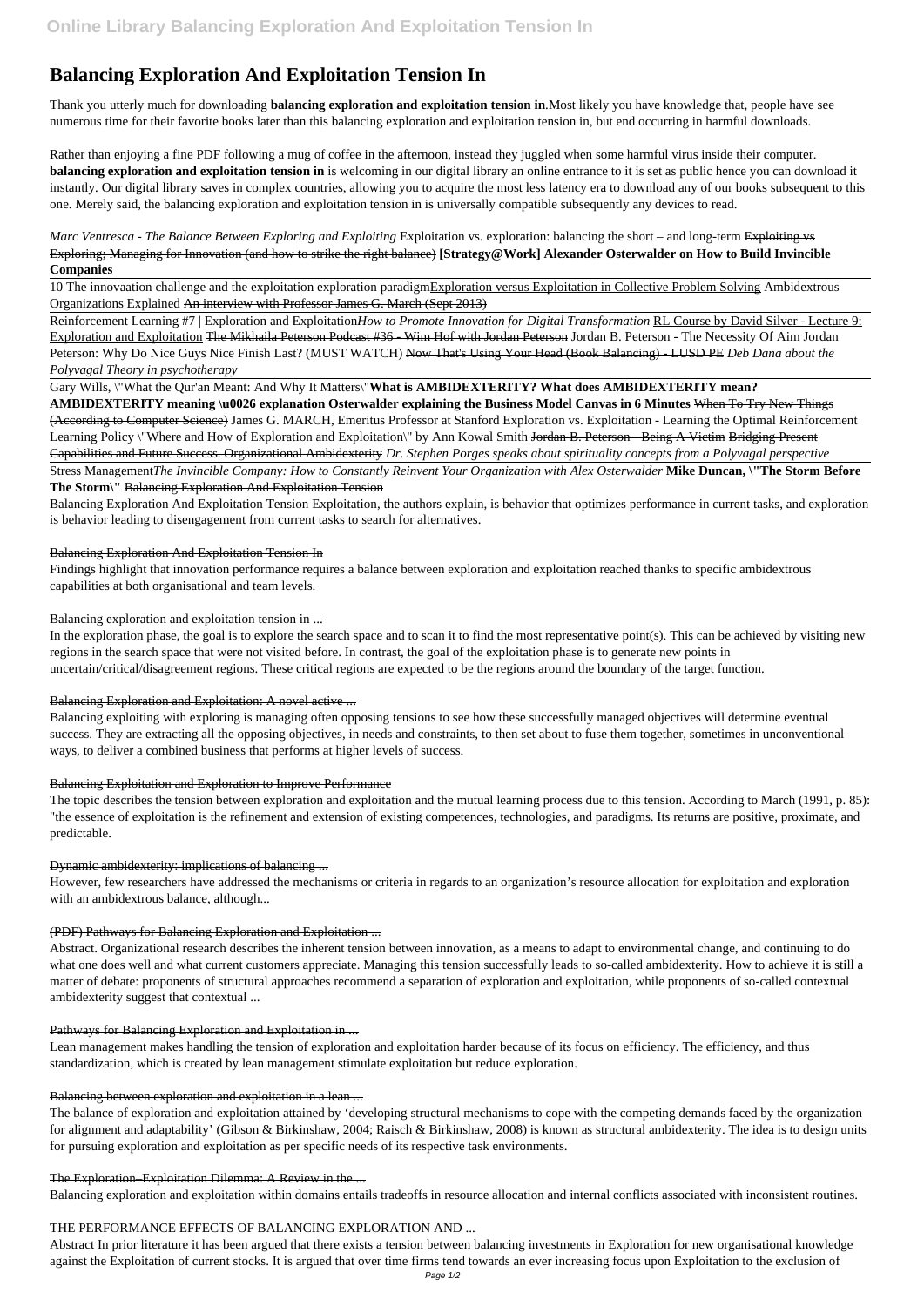# **Balancing Exploration And Exploitation Tension In**

Thank you utterly much for downloading **balancing exploration and exploitation tension in**.Most likely you have knowledge that, people have see numerous time for their favorite books later than this balancing exploration and exploitation tension in, but end occurring in harmful downloads.

*Marc Ventresca - The Balance Between Exploring and Exploiting Exploitation vs. exploration: balancing the short – and long-term Exploiting vs* Exploring; Managing for Innovation (and how to strike the right balance) **[Strategy@Work] Alexander Osterwalder on How to Build Invincible Companies**

Rather than enjoying a fine PDF following a mug of coffee in the afternoon, instead they juggled when some harmful virus inside their computer. **balancing exploration and exploitation tension in** is welcoming in our digital library an online entrance to it is set as public hence you can download it instantly. Our digital library saves in complex countries, allowing you to acquire the most less latency era to download any of our books subsequent to this one. Merely said, the balancing exploration and exploitation tension in is universally compatible subsequently any devices to read.

Reinforcement Learning #7 | Exploration and Exploitation*How to Promote Innovation for Digital Transformation* RL Course by David Silver - Lecture 9: Exploration and Exploitation The Mikhaila Peterson Podcast #36 - Wim Hof with Jordan Peterson Jordan B. Peterson - The Necessity Of Aim Jordan Peterson: Why Do Nice Guys Nice Finish Last? (MUST WATCH) Now That's Using Your Head (Book Balancing) - LUSD PE *Deb Dana about the Polyvagal Theory in psychotherapy*

10 The innovaation challenge and the exploitation exploration paradigmExploration versus Exploitation in Collective Problem Solving Ambidextrous Organizations Explained An interview with Professor James G. March (Sept 2013)

Gary Wills, \"What the Qur'an Meant: And Why It Matters\"**What is AMBIDEXTERITY? What does AMBIDEXTERITY mean? AMBIDEXTERITY meaning \u0026 explanation Osterwalder explaining the Business Model Canvas in 6 Minutes** When To Try New Things (According to Computer Science) James G. MARCH, Emeritus Professor at Stanford Exploration vs. Exploitation - Learning the Optimal Reinforcement Learning Policy \"Where and How of Exploration and Exploitation\" by Ann Kowal Smith Jordan B. Peterson - Being A Victim Bridging Present Capabilities and Future Success. Organizational Ambidexterity *Dr. Stephen Porges speaks about spirituality concepts from a Polyvagal perspective*

Stress Management*The Invincible Company: How to Constantly Reinvent Your Organization with Alex Osterwalder* **Mike Duncan, \"The Storm Before The Storm\"** Balancing Exploration And Exploitation Tension

Balancing Exploration And Exploitation Tension Exploitation, the authors explain, is behavior that optimizes performance in current tasks, and exploration is behavior leading to disengagement from current tasks to search for alternatives.

# Balancing Exploration And Exploitation Tension In

Findings highlight that innovation performance requires a balance between exploration and exploitation reached thanks to specific ambidextrous capabilities at both organisational and team levels.

# Balancing exploration and exploitation tension in ...

In the exploration phase, the goal is to explore the search space and to scan it to find the most representative point(s). This can be achieved by visiting new regions in the search space that were not visited before. In contrast, the goal of the exploitation phase is to generate new points in uncertain/critical/disagreement regions. These critical regions are expected to be the regions around the boundary of the target function.

### Balancing Exploration and Exploitation: A novel active ...

Balancing exploiting with exploring is managing often opposing tensions to see how these successfully managed objectives will determine eventual success. They are extracting all the opposing objectives, in needs and constraints, to then set about to fuse them together, sometimes in unconventional ways, to deliver a combined business that performs at higher levels of success.

### Balancing Exploitation and Exploration to Improve Performance

The topic describes the tension between exploration and exploitation and the mutual learning process due to this tension. According to March (1991, p. 85): "the essence of exploitation is the refinement and extension of existing competences, technologies, and paradigms. Its returns are positive, proximate, and predictable.

### Dynamic ambidexterity: implications of balancing ...

However, few researchers have addressed the mechanisms or criteria in regards to an organization's resource allocation for exploitation and exploration with an ambidextrous balance, although...

# (PDF) Pathways for Balancing Exploration and Exploitation ...

Abstract. Organizational research describes the inherent tension between innovation, as a means to adapt to environmental change, and continuing to do what one does well and what current customers appreciate. Managing this tension successfully leads to so-called ambidexterity. How to achieve it is still a matter of debate: proponents of structural approaches recommend a separation of exploration and exploitation, while proponents of so-called contextual ambidexterity suggest that contextual ...

#### Pathways for Balancing Exploration and Exploitation in ...

Lean management makes handling the tension of exploration and exploitation harder because of its focus on efficiency. The efficiency, and thus standardization, which is created by lean management stimulate exploitation but reduce exploration.

#### Balancing between exploration and exploitation in a lean ...

The balance of exploration and exploitation attained by 'developing structural mechanisms to cope with the competing demands faced by the organization for alignment and adaptability' (Gibson & Birkinshaw, 2004; Raisch & Birkinshaw, 2008) is known as structural ambidexterity. The idea is to design units for pursuing exploration and exploitation as per specific needs of its respective task environments.

#### The Exploration–Exploitation Dilemma: A Review in the ...

Balancing exploration and exploitation within domains entails tradeoffs in resource allocation and internal conflicts associated with inconsistent routines.

#### THE PERFORMANCE EFFECTS OF BALANCING EXPLORATION AND ...

Abstract In prior literature it has been argued that there exists a tension between balancing investments in Exploration for new organisational knowledge against the Exploitation of current stocks. It is argued that over time firms tend towards an ever increasing focus upon Exploitation to the exclusion of